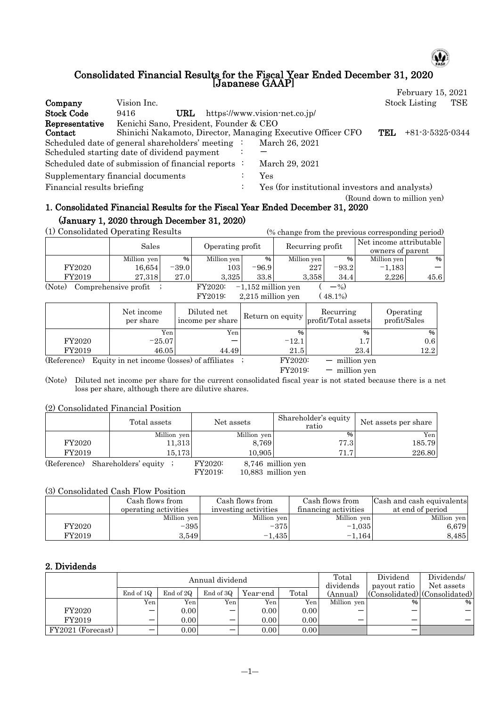# ω

### Consolidated Financial Results for the Fiscal Year Ended December 31, 2020 [Japanese GAAP]

|                            |                                                             |           |                                                |     | February 15, 2021           |     |
|----------------------------|-------------------------------------------------------------|-----------|------------------------------------------------|-----|-----------------------------|-----|
| Company                    | Vision Inc.                                                 |           |                                                |     | <b>Stock Listing</b>        | TSE |
| <b>Stock Code</b>          | URL<br>9416                                                 |           | https://www.vision-net.co.jp/                  |     |                             |     |
| Representative             | Kenichi Sano, President, Founder & CEO                      |           |                                                |     |                             |     |
| Contact                    | Shinichi Nakamoto, Director, Managing Executive Officer CFO |           |                                                | TEL | $+81-3-5325-0344$           |     |
|                            | Scheduled date of general shareholders' meeting :           |           | March 26, 2021                                 |     |                             |     |
|                            | Scheduled starting date of dividend payment                 |           |                                                |     |                             |     |
|                            | Scheduled date of submission of financial reports :         |           | March 29, 2021                                 |     |                             |     |
|                            | Supplementary financial documents                           |           | Yes                                            |     |                             |     |
| Financial results briefing |                                                             | $\bullet$ | Yes (for institutional investors and analysts) |     |                             |     |
|                            |                                                             |           |                                                |     | (Round down to million ven) |     |

## 1. Consolidated Financial Results for the Fiscal Year Ended December 31, 2020 (January 1, 2020 through December 31, 2020)

(1) Consolidated Operating Results (% change from the previous corresponding period)

| (1) Consolidated Operating Results           |                      |         |                  |                      | (% change from the previous corresponding period) |         |                                             |      |
|----------------------------------------------|----------------------|---------|------------------|----------------------|---------------------------------------------------|---------|---------------------------------------------|------|
|                                              | Sales                |         | Operating profit |                      | Recurring profit                                  |         | Net income attributable<br>owners of parent |      |
|                                              | Million yen          | %       | Million yen      | %                    | Million yen                                       | %       | Million yen                                 | %    |
| FY2020                                       | 16.654               | $-39.0$ | 1031             | $-96.9$              | 227                                               | $-93.2$ | $-1.183$                                    |      |
| FY2019                                       | 27.318               | 27.0    | 3.325            | 33.8                 | 3.358                                             | 34.4    | 2.226                                       | 45.6 |
| (Note)                                       | Comprehensive profit |         | <b>FY2020:</b>   | $-1,152$ million yen |                                                   | $-$ %)  |                                             |      |
| $(48.1\%)$<br>FY2019:<br>$2,215$ million yen |                      |         |                  |                      |                                                   |         |                                             |      |

 $2,215$  million yen

|             | Net income<br>per share                     | Diluted net<br>income per share |               | Recurring<br>$\Box$ Return on equity $ $ profit/Total assets | Operating<br>profit/Sales |
|-------------|---------------------------------------------|---------------------------------|---------------|--------------------------------------------------------------|---------------------------|
|             | Yen                                         | Yen.                            | $\frac{0}{0}$ | %                                                            | %                         |
| FY2020      | $-25.07$                                    |                                 | $-12.1$       | $1.7\,$                                                      | 0.6                       |
| FY2019      | 46.05                                       | 44.49                           | 21.5          | 23.4                                                         | 12.2                      |
| (Reference) | Equity in net income (losses) of affiliates |                                 | FY2020:       | $-$ million yen                                              |                           |
|             |                                             |                                 | FY2019:       | $-$ million ven                                              |                           |

(Note) Diluted net income per share for the current consolidated fiscal year is not stated because there is a net loss per share, although there are dilutive shares.

### (2) Consolidated Financial Position

|        | Total assets | Net assets  | Shareholder's equity<br>ratio | Net assets per share |  |
|--------|--------------|-------------|-------------------------------|----------------------|--|
|        | Million yen  | Million yen | %                             | Yen                  |  |
| FY2020 | 11,313       | 8.769       | 77.3                          | 185.79               |  |
| FY2019 | 15.1731      | 10.905      | 71.7                          | 226.80               |  |

(Reference) Shareholders' equity ; FY2020: 8,746 million yen<br>FY2019: 10,883 million yen

10,883 million yen

## (3) Consolidated Cash Flow Position

|        | Cash flows from      | Cash flows from      | Cash flows from      | Cash and cash equivalents |
|--------|----------------------|----------------------|----------------------|---------------------------|
|        | operating activities | investing activities | financing activities | at end of period          |
|        | Million yen          | Million yen          | Million yen          | Million yen               |
| FY2020 | $-395$               | $-375$               | $-1.035$             | 6,679                     |
| FY2019 | 3.549                | $-1.435$             | $-1,164$             | 8,485                     |

## 2. Dividends

|                   |           |           | Annual dividend          | Total    | Dividend          | Dividends/  |              |                               |
|-------------------|-----------|-----------|--------------------------|----------|-------------------|-------------|--------------|-------------------------------|
|                   |           |           |                          |          |                   | dividends   | payout ratio | Net assets                    |
|                   | End of 1Q | End of 2Q | End of 3Q                | Year-end | Total             | (Annual)    |              | (Consolidated) (Consolidated) |
|                   | Yen.      | Yen i     | Yen.                     | Yen      | Yen.              | Million yen | $\%$         | %                             |
| FY2020            | –         | 0.00      | $\overline{\phantom{0}}$ | 0.00     | 0.00              |             | –            |                               |
| FY2019            | –         | 0.00      |                          | 0.00     | 0.00              |             | –            |                               |
| FY2021 (Forecast) | –         | 0.00      | –                        | 0.00     | 0.00 <sub>l</sub> |             | –            |                               |